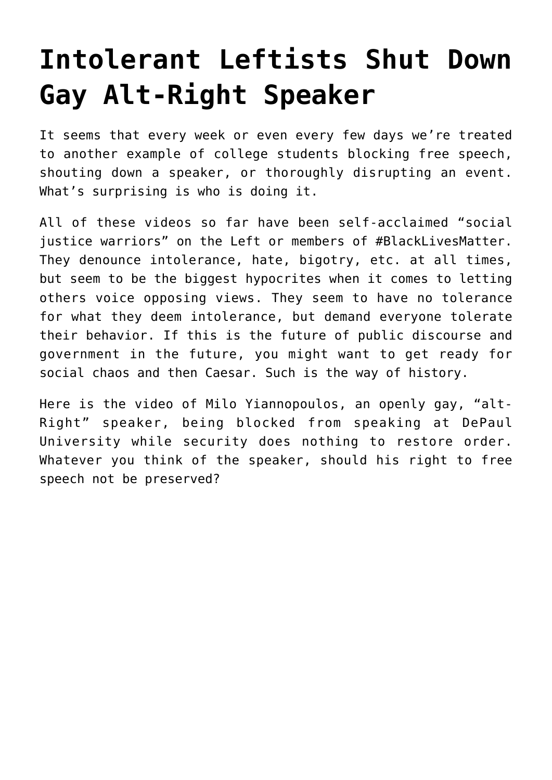## **[Intolerant Leftists Shut Down](https://intellectualtakeout.org/2016/05/intolerant-leftists-shut-down-gay-alt-right-speaker/) [Gay Alt-Right Speaker](https://intellectualtakeout.org/2016/05/intolerant-leftists-shut-down-gay-alt-right-speaker/)**

It seems that every week or even every few days we're treated to another example of college students blocking free speech, shouting down a speaker, or thoroughly disrupting an event. What's surprising is who is doing it.

All of these videos so far have been self-acclaimed "social justice warriors" on the Left or members of #BlackLivesMatter. They denounce intolerance, hate, bigotry, etc. at all times, but seem to be the biggest hypocrites when it comes to letting others voice opposing views. They seem to have no tolerance for what they deem intolerance, but demand everyone tolerate their behavior. If this is the future of public discourse and government in the future, you might want to get ready for social chaos and then Caesar. Such is the way of history.

Here is the video of Milo Yiannopoulos, an openly gay, "alt-Right" speaker, being blocked from speaking at DePaul University while security does nothing to restore order. Whatever you think of the speaker, should his right to free speech not be preserved?